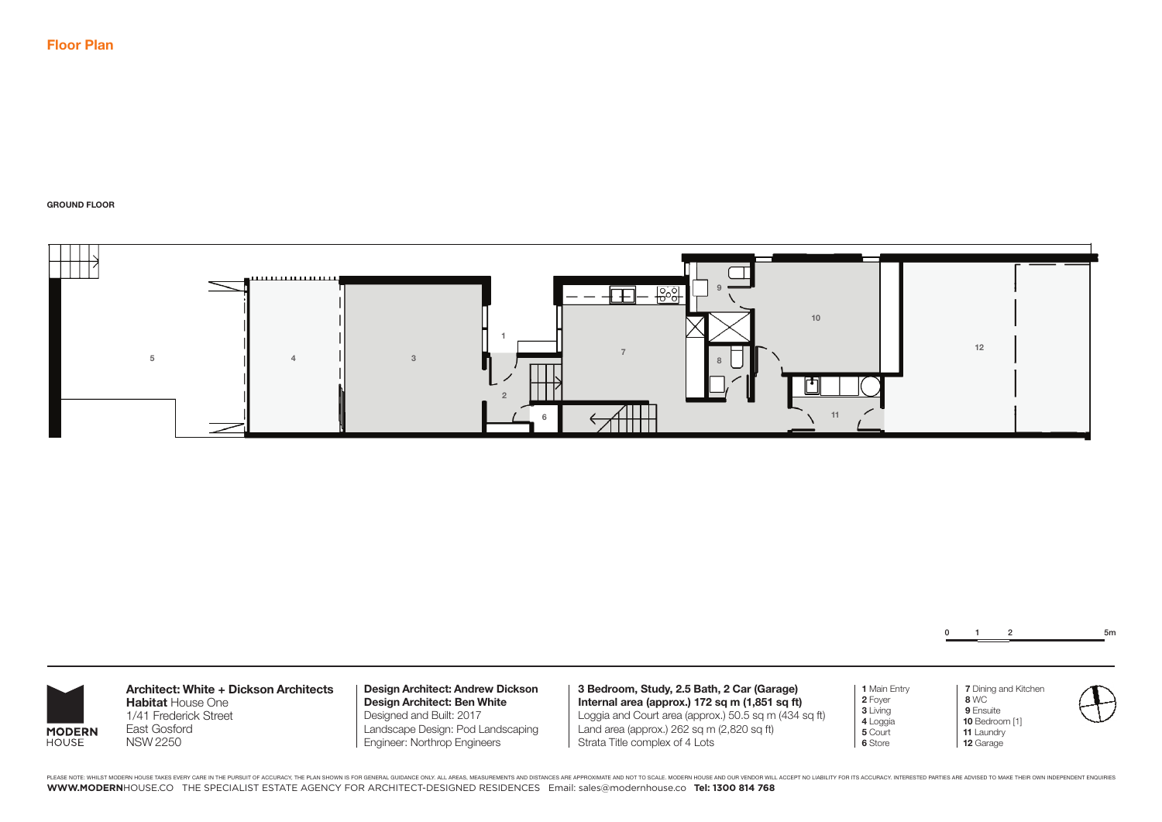**GROUND FLOOR**



0 1 2 5m

 **7** Dining and Kitchen

 **8** WC  **9** Ensuite **10** Bedroom [1] **11** Laundry **12** Garage

**MODERN** HOUSE

**Architect: White + Dickson Architects Habitat** House One 1/41 Frederick Street East Gosford NSW 2250

**Design Architect: Andrew Dickson Design Architect: Ben White** Designed and Built: 2017 Landscape Design: Pod Landscaping Engineer: Northrop Engineers

**3 Bedroom, Study, 2.5 Bath, 2 Car (Garage) Internal area (approx.) 172 sq m (1,851 sq ft)** Loggia and Court area (approx.) 50.5 sq m (434 sq ft) Land area (approx.) 262 sq m (2,820 sq ft) Strata Title complex of 4 Lots

**1** Main Entry **2** Foyer **3** Living **4** Loggia **5** Court **6** Store

PLEASE NOTE: WHILST MODERN HOUSE TAKES EVERY CARE IN THE PURSUIT OF ACCURACY, THE PLAN SHOWN IS FOR GENERAL GUIDANCE ONLY. ALL AREAS, MEASUREMENTS AND DISTANCES ARE APPROXIMATE AND NOT TO SCALE. MODERN HOUSE AND OUR VENDOR **WWW.MODERN**HOUSE.CO THE SPECIALIST ESTATE AGENCY FOR ARCHITECT-DESIGNED RESIDENCES Email: sales@modernhouse.co **Tel: 1300 814 768**